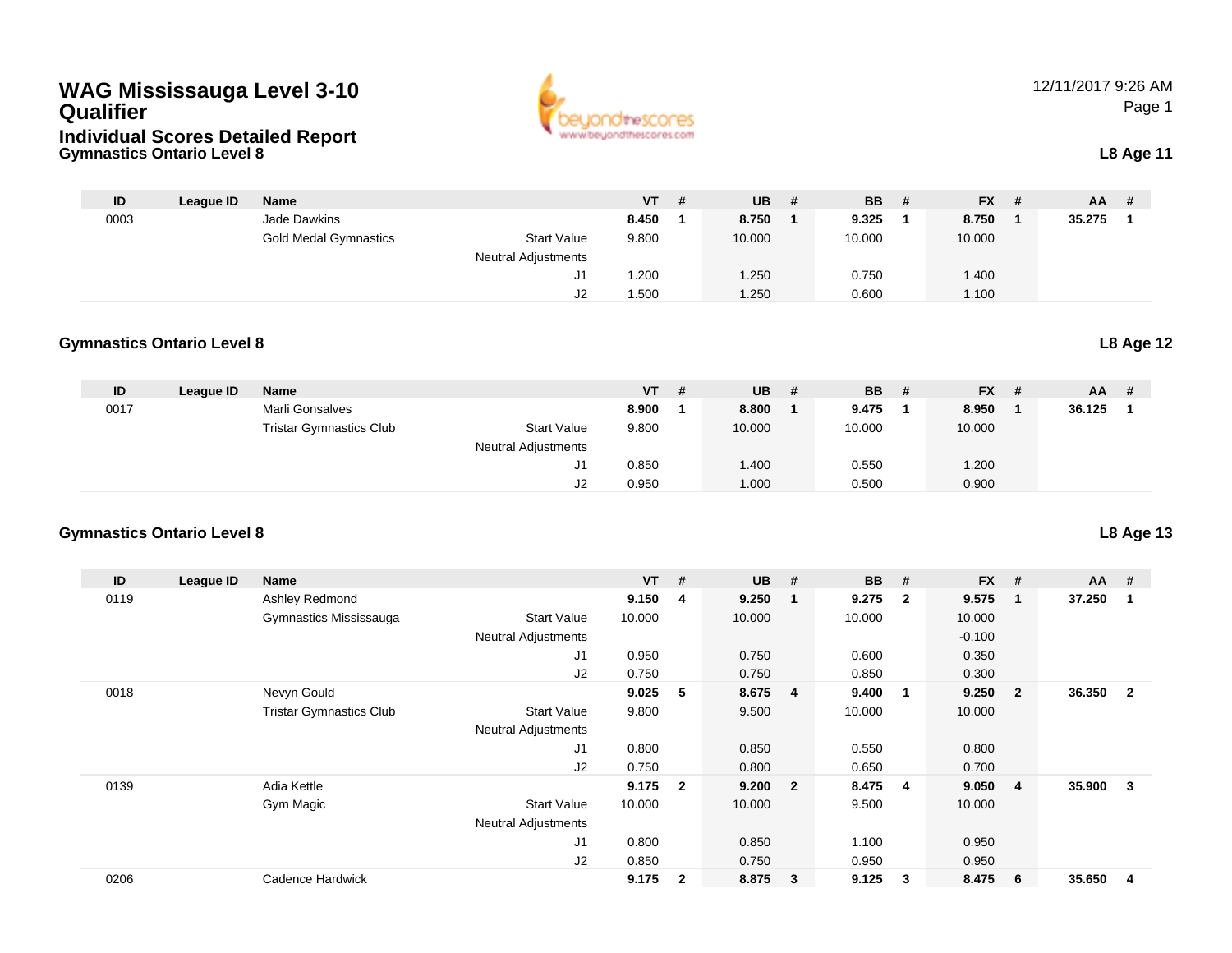# **WAG Mississauga Level 3-10 Qualifier**





12/11/2017 9:26 AMPage 1

| ID   | League ID | <b>Name</b>                  |                            | $VT$ # | <b>UB</b> | <b>BB</b> | - # | <b>FX</b> | - # | <b>AA</b> |  |
|------|-----------|------------------------------|----------------------------|--------|-----------|-----------|-----|-----------|-----|-----------|--|
| 0003 |           | Jade Dawkins                 |                            | 8.450  | 8.750     | 9.325     |     | 8.750     |     | 35.275    |  |
|      |           | <b>Gold Medal Gymnastics</b> | <b>Start Value</b>         | 9.800  | 10.000    | 10.000    |     | 10.000    |     |           |  |
|      |           |                              | <b>Neutral Adjustments</b> |        |           |           |     |           |     |           |  |
|      |           |                              | J1                         | 1.200  | .250      | 0.750     |     | 1.400     |     |           |  |
|      |           |                              | J2                         | .500   | .250      | 0.600     |     | 1.100     |     |           |  |

### **Gymnastics Ontario Level 8L8 Age 12**

| ID   | League ID | <b>Name</b>                    |                            | $VT$ # | <b>UB</b> | -# | <b>BB</b> | - # | <b>FX</b> | - # | <b>AA</b> | # |
|------|-----------|--------------------------------|----------------------------|--------|-----------|----|-----------|-----|-----------|-----|-----------|---|
| 0017 |           | Marli Gonsalves                |                            | 8.900  | 8.800     |    | 9.475     |     | 8.950     |     | 36.125    |   |
|      |           | <b>Tristar Gymnastics Club</b> | <b>Start Value</b>         | 9.800  | 10.000    |    | 10.000    |     | 10.000    |     |           |   |
|      |           |                                | <b>Neutral Adjustments</b> |        |           |    |           |     |           |     |           |   |
|      |           |                                | J1                         | 0.850  | 1.400     |    | 0.550     |     | 1.200     |     |           |   |
|      |           |                                | J2                         | 0.950  | 000.1     |    | 0.500     |     | 0.900     |     |           |   |

# **Gymnastics Ontario Level 8**

| ID   | League ID | Name                           |                            | <b>VT</b> | #              | <b>UB</b> | #                       | <b>BB</b> | #                       | <b>FX</b> | #              | $AA$ # |                |
|------|-----------|--------------------------------|----------------------------|-----------|----------------|-----------|-------------------------|-----------|-------------------------|-----------|----------------|--------|----------------|
| 0119 |           | Ashley Redmond                 |                            | 9.150     | 4              | 9.250     | $\overline{1}$          | 9.275     | $\overline{\mathbf{2}}$ | 9.575     | $\mathbf 1$    | 37.250 |                |
|      |           | Gymnastics Mississauga         | <b>Start Value</b>         | 10.000    |                | 10.000    |                         | 10.000    |                         | 10.000    |                |        |                |
|      |           |                                | <b>Neutral Adjustments</b> |           |                |           |                         |           |                         | $-0.100$  |                |        |                |
|      |           |                                | J <sub>1</sub>             | 0.950     |                | 0.750     |                         | 0.600     |                         | 0.350     |                |        |                |
|      |           |                                | J2                         | 0.750     |                | 0.750     |                         | 0.850     |                         | 0.300     |                |        |                |
| 0018 |           | Nevyn Gould                    |                            | 9.025     | 5              | 8.675     | $\overline{4}$          | 9.400     | - 1                     | 9.250     | $\mathbf{2}$   | 36.350 | $\overline{2}$ |
|      |           | <b>Tristar Gymnastics Club</b> | <b>Start Value</b>         | 9.800     |                | 9.500     |                         | 10.000    |                         | 10.000    |                |        |                |
|      |           |                                | <b>Neutral Adjustments</b> |           |                |           |                         |           |                         |           |                |        |                |
|      |           |                                | J <sub>1</sub>             | 0.800     |                | 0.850     |                         | 0.550     |                         | 0.800     |                |        |                |
|      |           |                                | J2                         | 0.750     |                | 0.800     |                         | 0.650     |                         | 0.700     |                |        |                |
| 0139 |           | Adia Kettle                    |                            | 9.175     | $\overline{2}$ | 9.200     | $\overline{\mathbf{2}}$ | 8.475     | $\overline{\mathbf{4}}$ | 9.050     | $\overline{4}$ | 35.900 | 3              |
|      |           | Gym Magic                      | <b>Start Value</b>         | 10.000    |                | 10.000    |                         | 9.500     |                         | 10.000    |                |        |                |
|      |           |                                | <b>Neutral Adjustments</b> |           |                |           |                         |           |                         |           |                |        |                |
|      |           |                                | J <sub>1</sub>             | 0.800     |                | 0.850     |                         | 1.100     |                         | 0.950     |                |        |                |
|      |           |                                | J2                         | 0.850     |                | 0.750     |                         | 0.950     |                         | 0.950     |                |        |                |
| 0206 |           | Cadence Hardwick               |                            | 9.175     | $\mathbf{2}$   | 8.875     | $\mathbf{3}$            | 9.125     | 3                       | 8.475     | -6             | 35.650 | 4              |

**L8 Age 13**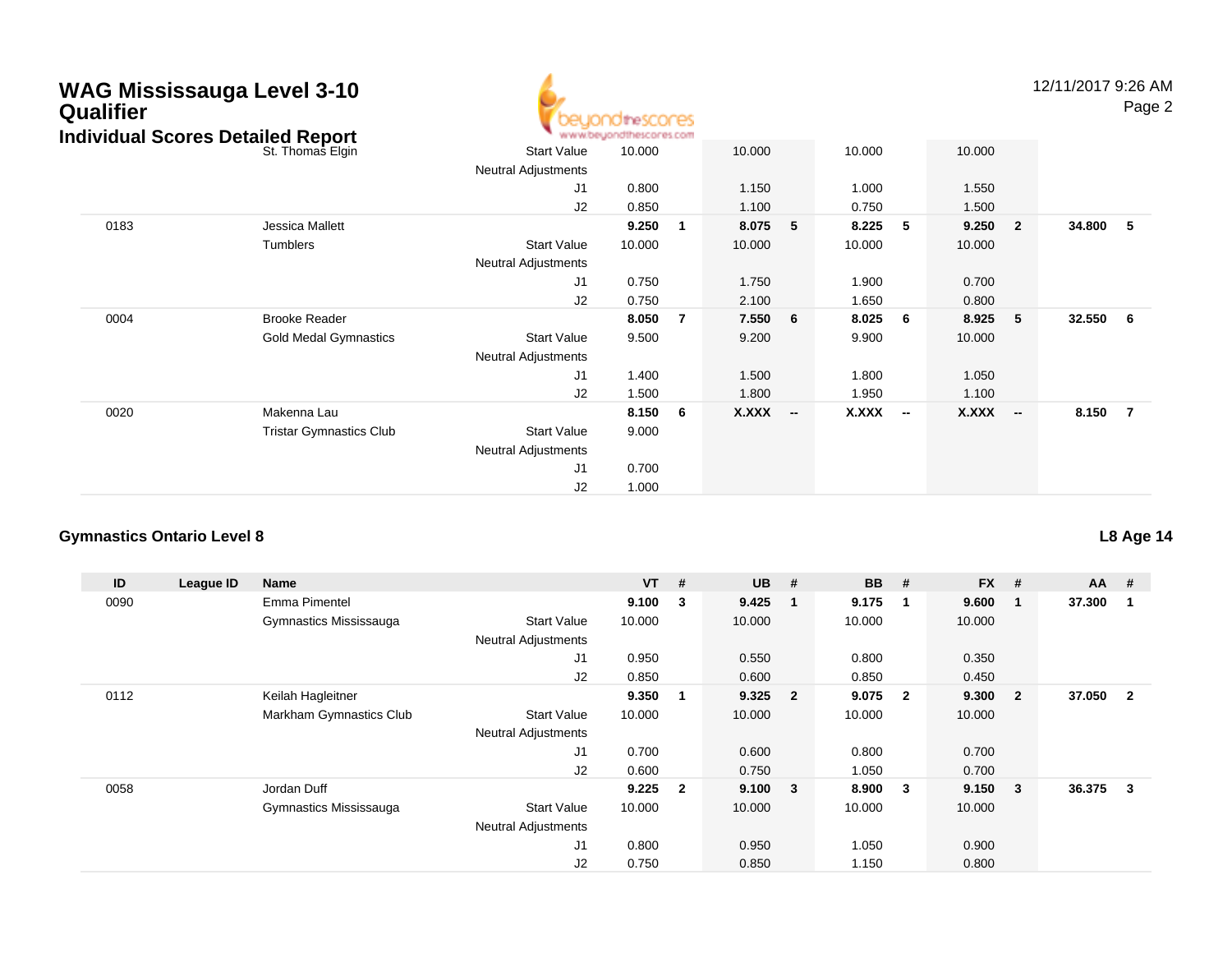|  | <b>WAG Mississauga Level 3-10</b><br><b>Qualifier</b> | <b>Individual Scores Detailed Report</b><br>St. Thomas Elgin<br>Jessica Mallett<br>Tumblers<br><b>Brooke Reader</b><br><b>Gold Medal Gymnastics</b> | .ionditescores<br><b>MESCOFIES COM</b> |        |     |        |   |        |   |        |                         | 12/11/2017 9:2 | P   |
|--|-------------------------------------------------------|-----------------------------------------------------------------------------------------------------------------------------------------------------|----------------------------------------|--------|-----|--------|---|--------|---|--------|-------------------------|----------------|-----|
|  |                                                       |                                                                                                                                                     | <b>Start Value</b>                     | 10.000 |     | 10.000 |   | 10.000 |   | 10.000 |                         |                |     |
|  |                                                       |                                                                                                                                                     | <b>Neutral Adjustments</b>             |        |     |        |   |        |   |        |                         |                |     |
|  |                                                       |                                                                                                                                                     | J1                                     | 0.800  |     | 1.150  |   | 1.000  |   | 1.550  |                         |                |     |
|  |                                                       |                                                                                                                                                     | J2                                     | 0.850  |     | 1.100  |   | 0.750  |   | 1.500  |                         |                |     |
|  | 0183                                                  |                                                                                                                                                     |                                        | 9.250  | -1  | 8.075  | 5 | 8.225  | 5 | 9.250  | $\overline{\mathbf{2}}$ | 34.800         | -5  |
|  |                                                       |                                                                                                                                                     | <b>Start Value</b>                     | 10.000 |     | 10.000 |   | 10.000 |   | 10.000 |                         |                |     |
|  |                                                       |                                                                                                                                                     | <b>Neutral Adjustments</b>             |        |     |        |   |        |   |        |                         |                |     |
|  |                                                       |                                                                                                                                                     | J1                                     | 0.750  |     | 1.750  |   | 1.900  |   | 0.700  |                         |                |     |
|  |                                                       |                                                                                                                                                     | J2                                     | 0.750  |     | 2.100  |   | 1.650  |   | 0.800  |                         |                |     |
|  | 0004                                                  |                                                                                                                                                     |                                        | 8.050  | - 7 | 7.550  | 6 | 8.025  | 6 | 8.925  | - 5                     | 32.550         | - 6 |
|  |                                                       |                                                                                                                                                     | <b>Start Value</b>                     | 9.500  |     | 9.200  |   | 9.900  |   | 10.000 |                         |                |     |
|  |                                                       |                                                                                                                                                     | <b>Neutral Adjustments</b>             |        |     |        |   |        |   |        |                         |                |     |
|  |                                                       |                                                                                                                                                     | J <sub>1</sub>                         | 1.400  |     | 1.500  |   | 1.800  |   | 1.050  |                         |                |     |
|  |                                                       |                                                                                                                                                     |                                        |        |     |        |   |        |   |        |                         |                |     |

J2

J1

J2

Neutral Adjustments

Start Value 9.000

0.700

1.000

Makenna Lau **8.150 <sup>6</sup> X.XXX**

Tristar Gymnastics Club

1.500 1.800 1.950 1.100

**-- X.XXX -- X.XXX -- 8.150 <sup>7</sup>**

# **Gymnastics Ontario Level 8**

0020

| ID   | League ID | Name                    |                            | <b>VT</b> | #                       | <b>UB</b> | #                       | <b>BB</b> | #            | $FX$ # |              | $AA$ # |              |
|------|-----------|-------------------------|----------------------------|-----------|-------------------------|-----------|-------------------------|-----------|--------------|--------|--------------|--------|--------------|
| 0090 |           | Emma Pimentel           |                            | 9.100     | $\overline{\mathbf{3}}$ | 9.425     | $\overline{\mathbf{1}}$ | 9.175     | -1           | 9.600  | 1            | 37.300 |              |
|      |           | Gymnastics Mississauga  | <b>Start Value</b>         | 10.000    |                         | 10.000    |                         | 10.000    |              | 10.000 |              |        |              |
|      |           |                         | <b>Neutral Adjustments</b> |           |                         |           |                         |           |              |        |              |        |              |
|      |           |                         | J1                         | 0.950     |                         | 0.550     |                         | 0.800     |              | 0.350  |              |        |              |
|      |           |                         | J2                         | 0.850     |                         | 0.600     |                         | 0.850     |              | 0.450  |              |        |              |
| 0112 |           | Keilah Hagleitner       |                            | 9.350     |                         | 9.325     | $\overline{\mathbf{2}}$ | 9.075     | $\mathbf{2}$ | 9.300  | $\mathbf{2}$ | 37.050 | $\mathbf{2}$ |
|      |           | Markham Gymnastics Club | <b>Start Value</b>         | 10.000    |                         | 10.000    |                         | 10.000    |              | 10.000 |              |        |              |
|      |           |                         | <b>Neutral Adjustments</b> |           |                         |           |                         |           |              |        |              |        |              |
|      |           |                         | J1                         | 0.700     |                         | 0.600     |                         | 0.800     |              | 0.700  |              |        |              |
|      |           |                         | J2                         | 0.600     |                         | 0.750     |                         | 1.050     |              | 0.700  |              |        |              |
| 0058 |           | Jordan Duff             |                            | 9.225     | $\overline{\mathbf{2}}$ | 9.100     | $\overline{\mathbf{3}}$ | 8.900     | 3            | 9.150  | 3            | 36.375 | 3            |
|      |           | Gymnastics Mississauga  | <b>Start Value</b>         | 10.000    |                         | 10.000    |                         | 10.000    |              | 10.000 |              |        |              |
|      |           |                         | <b>Neutral Adjustments</b> |           |                         |           |                         |           |              |        |              |        |              |
|      |           |                         | J1                         | 0.800     |                         | 0.950     |                         | 1.050     |              | 0.900  |              |        |              |
|      |           |                         | J2                         | 0.750     |                         | 0.850     |                         | 1.150     |              | 0.800  |              |        |              |

**L8 Age 14**

19:26 AM Page 2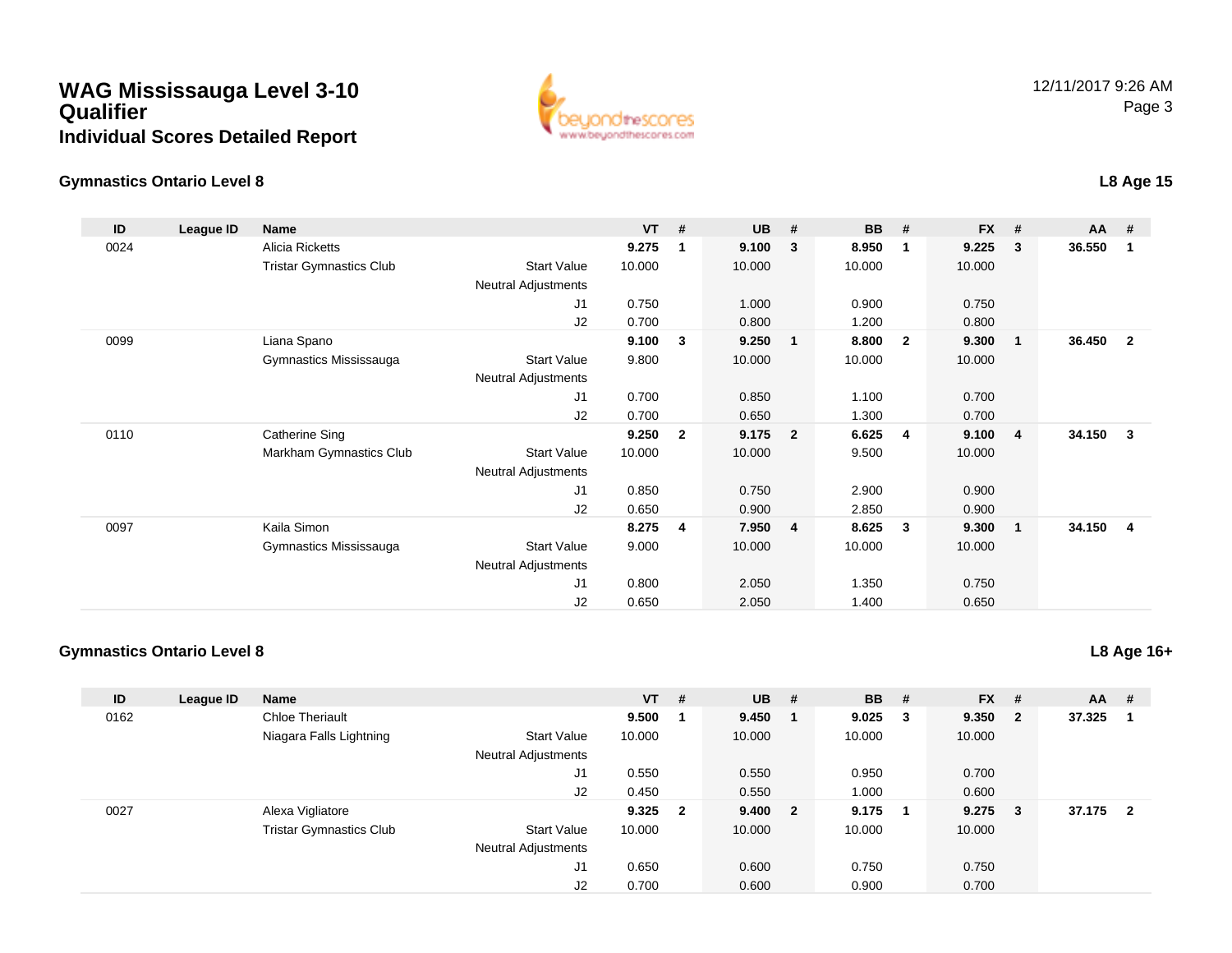# **WAG Mississauga Level 3-10QualifierIndividual Scores Detailed Report**



## **Gymnastics Ontario Level 8**

#### **ID League ID Name VT # UB # BB # FX # AA #** 0024 Alicia Ricketts **9.275 <sup>1</sup> 9.100 <sup>3</sup> 8.950 <sup>1</sup> 9.225 <sup>3</sup> 36.550 <sup>1</sup>** Tristar Gymnastics Clubb 3tart Value 10.000 10.000 10.000 10.000 10.000 Neutral Adjustments J1 0.750 1.000 0.900 0.750 J2 0.700 0.800 1.200 0.800 0099 Liana Spano **9.100 <sup>3</sup> 9.250 <sup>1</sup> 8.800 <sup>2</sup> 9.300 <sup>1</sup> 36.450 <sup>2</sup>** Gymnastics Mississauga Start Value 9.800 10.000 10.000 10.000 Neutral Adjustments J1 0.700 0.850 1.100 0.700 J2 0.700 0.650 1.300 0.700 0110 Catherine Sing **9.250 <sup>2</sup> 9.175 <sup>2</sup> 6.625 <sup>4</sup> 9.100 <sup>4</sup> 34.150 <sup>3</sup>** Markham Gymnastics Club Start Value 10.000 10.000 9.500 10.000 Neutral Adjustments J1 0.850 0.750 2.900 0.900 J2 0.650 0.900 2.850 0.900 0097 Kaila Simon **8.275 <sup>4</sup> 7.950 <sup>4</sup> 8.625 <sup>3</sup> 9.300 <sup>1</sup> 34.150 <sup>4</sup>** Gymnastics Mississauga Start Value 9.000 10.000 10.000 10.000 Neutral Adjustments J1 0.800 2.050 1.350 0.750 J20.650 2.050 1.400 0.650

## **Gymnastics Ontario Level 8**

| ID   | League ID | <b>Name</b>                    |                            | <b>VT</b> | #                       | <b>UB</b> | #                       | <b>BB</b> | #  | $FX$ # |                | $AA$ #   |  |
|------|-----------|--------------------------------|----------------------------|-----------|-------------------------|-----------|-------------------------|-----------|----|--------|----------------|----------|--|
| 0162 |           | <b>Chloe Theriault</b>         |                            | 9.500     |                         | 9.450     |                         | 9.025     | 3  | 9.350  | $\overline{2}$ | 37.325   |  |
|      |           | Niagara Falls Lightning        | <b>Start Value</b>         | 10.000    |                         | 10.000    |                         | 10.000    |    | 10.000 |                |          |  |
|      |           |                                | <b>Neutral Adjustments</b> |           |                         |           |                         |           |    |        |                |          |  |
|      |           |                                | J1                         | 0.550     |                         | 0.550     |                         | 0.950     |    | 0.700  |                |          |  |
|      |           |                                | J2                         | 0.450     |                         | 0.550     |                         | 1.000     |    | 0.600  |                |          |  |
| 0027 |           | Alexa Vigliatore               |                            | 9.325     | $\overline{\mathbf{2}}$ | 9.400     | $\overline{\mathbf{2}}$ | 9.175     | -1 | 9.275  | -3             | 37.175 2 |  |
|      |           | <b>Tristar Gymnastics Club</b> | <b>Start Value</b>         | 10.000    |                         | 10.000    |                         | 10.000    |    | 10.000 |                |          |  |
|      |           |                                | <b>Neutral Adjustments</b> |           |                         |           |                         |           |    |        |                |          |  |
|      |           |                                | J1                         | 0.650     |                         | 0.600     |                         | 0.750     |    | 0.750  |                |          |  |
|      |           |                                | J2                         | 0.700     |                         | 0.600     |                         | 0.900     |    | 0.700  |                |          |  |

**L8 Age 16+**

**L8 Age 15**